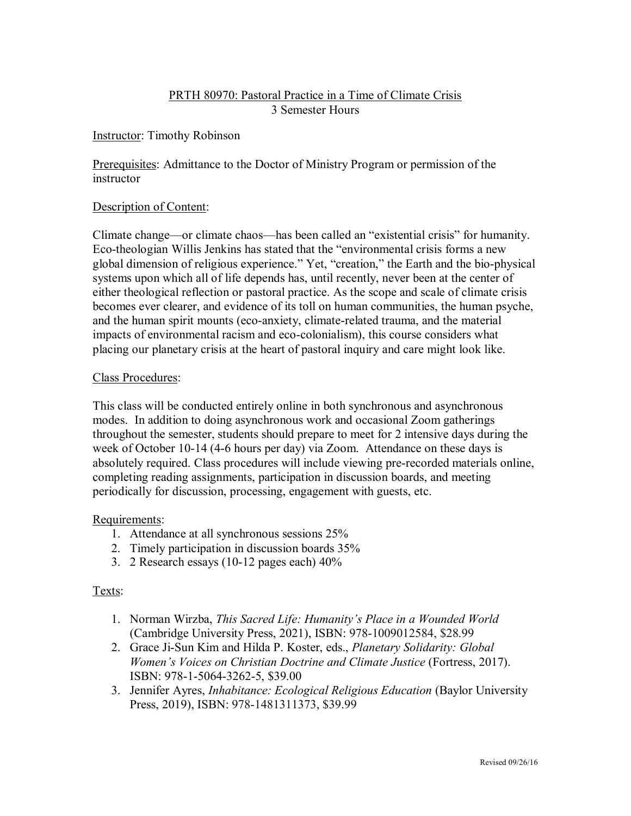# PRTH 80970: Pastoral Practice in a Time of Climate Crisis 3 Semester Hours

## Instructor: Timothy Robinson

Prerequisites: Admittance to the Doctor of Ministry Program or permission of the instructor

### Description of Content:

Climate change—or climate chaos—has been called an "existential crisis" for humanity. Eco-theologian Willis Jenkins has stated that the "environmental crisis forms a new global dimension of religious experience." Yet, "creation," the Earth and the bio-physical systems upon which all of life depends has, until recently, never been at the center of either theological reflection or pastoral practice. As the scope and scale of climate crisis becomes ever clearer, and evidence of its toll on human communities, the human psyche, and the human spirit mounts (eco-anxiety, climate-related trauma, and the material impacts of environmental racism and eco-colonialism), this course considers what placing our planetary crisis at the heart of pastoral inquiry and care might look like.

### Class Procedures:

This class will be conducted entirely online in both synchronous and asynchronous modes. In addition to doing asynchronous work and occasional Zoom gatherings throughout the semester, students should prepare to meet for 2 intensive days during the week of October 10-14 (4-6 hours per day) via Zoom. Attendance on these days is absolutely required. Class procedures will include viewing pre-recorded materials online, completing reading assignments, participation in discussion boards, and meeting periodically for discussion, processing, engagement with guests, etc.

## Requirements:

- 1. Attendance at all synchronous sessions 25%
- 2. Timely participation in discussion boards 35%
- 3. 2 Research essays (10-12 pages each) 40%

## Texts:

- 1. Norman Wirzba, *This Sacred Life: Humanity's Place in a Wounded World*  (Cambridge University Press, 2021), ISBN: 978-1009012584, \$28.99
- 2. Grace Ji-Sun Kim and Hilda P. Koster, eds., *Planetary Solidarity: Global Women's Voices on Christian Doctrine and Climate Justice (Fortress, 2017).* ISBN: 978-1-5064-3262-5, \$39.00
- 3. Jennifer Ayres, *Inhabitance: Ecological Religious Education* (Baylor University Press, 2019), ISBN: 978-1481311373, \$39.99